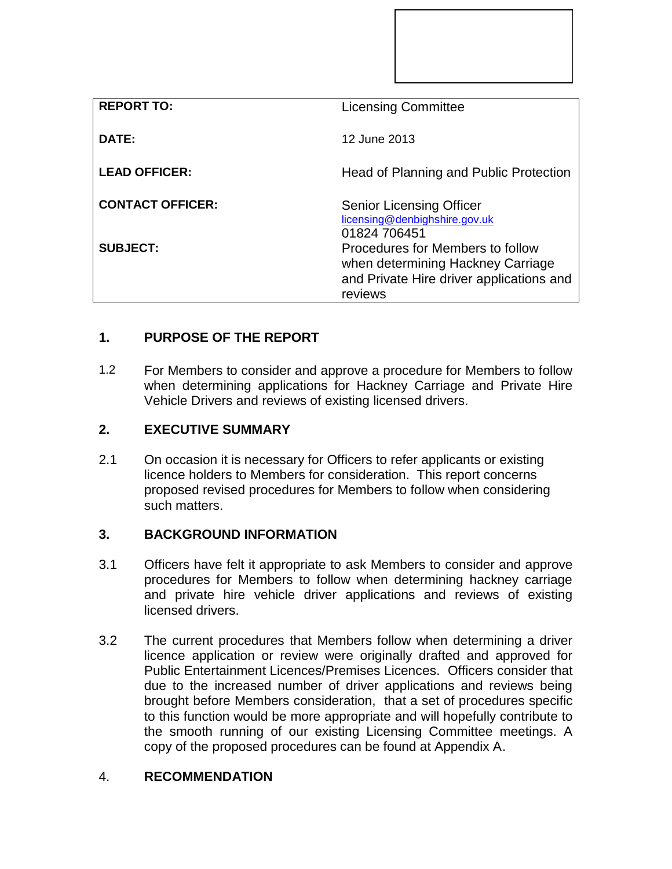| <b>REPORT TO:</b>       | <b>Licensing Committee</b>                                                                                                   |
|-------------------------|------------------------------------------------------------------------------------------------------------------------------|
| DATE:                   | 12 June 2013                                                                                                                 |
| <b>LEAD OFFICER:</b>    | Head of Planning and Public Protection                                                                                       |
| <b>CONTACT OFFICER:</b> | <b>Senior Licensing Officer</b><br>licensing@denbighshire.gov.uk<br>01824 706451                                             |
| <b>SUBJECT:</b>         | Procedures for Members to follow<br>when determining Hackney Carriage<br>and Private Hire driver applications and<br>reviews |

## **1. PURPOSE OF THE REPORT**

1.2 For Members to consider and approve a procedure for Members to follow when determining applications for Hackney Carriage and Private Hire Vehicle Drivers and reviews of existing licensed drivers.

## **2. EXECUTIVE SUMMARY**

2.1 On occasion it is necessary for Officers to refer applicants or existing licence holders to Members for consideration. This report concerns proposed revised procedures for Members to follow when considering such matters.

## **3. BACKGROUND INFORMATION**

- 3.1 Officers have felt it appropriate to ask Members to consider and approve procedures for Members to follow when determining hackney carriage and private hire vehicle driver applications and reviews of existing licensed drivers.
- 3.2 The current procedures that Members follow when determining a driver licence application or review were originally drafted and approved for Public Entertainment Licences/Premises Licences. Officers consider that due to the increased number of driver applications and reviews being brought before Members consideration, that a set of procedures specific to this function would be more appropriate and will hopefully contribute to the smooth running of our existing Licensing Committee meetings. A copy of the proposed procedures can be found at Appendix A.

## 4. **RECOMMENDATION**